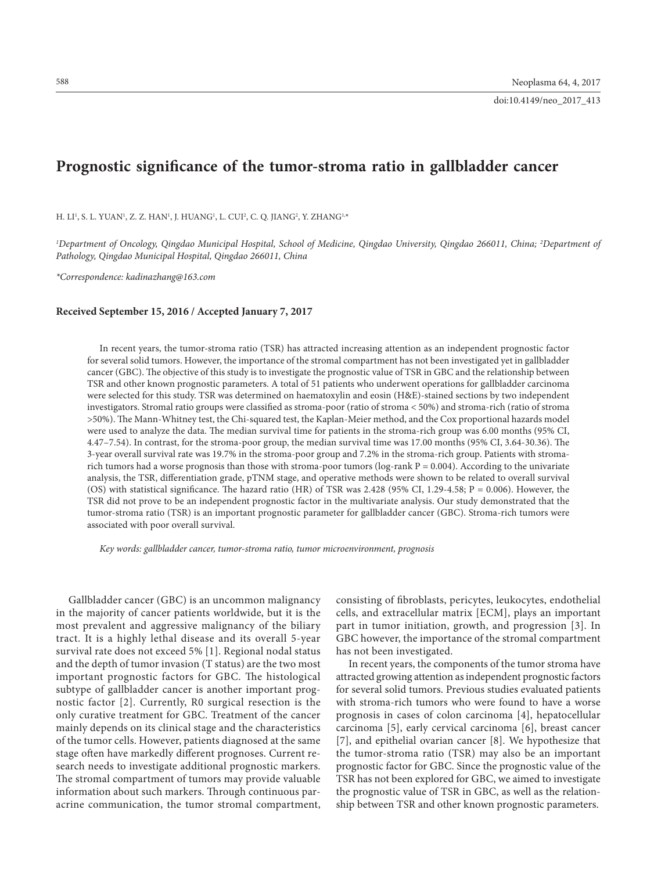# **Prognostic significance of the tumor-stroma ratio in gallbladder cancer**

H. LI<sup>i</sup>, S. L. YUAN<sup>i</sup>, Z. Z. HAN<sup>i</sup>, J. HUANG<sup>i</sup>, L. CUI<sup>2</sup>, C. Q. JIANG<sup>2</sup>, Y. ZHANG<sup>i,</sup>\*

*1 Department of Oncology, Qingdao Municipal Hospital, School of Medicine, Qingdao University, Qingdao 266011, China; 2 Department of Pathology, Qingdao Municipal Hospital, Qingdao 266011, China*

*\*Correspondence: [kadinazhang@163.com](mailto:kadinazhang@163.com)*

#### **Received September 15, 2016 / Accepted January 7, 2017**

In recent years, the tumor-stroma ratio (TSR) has attracted increasing attention as an independent prognostic factor for several solid tumors. However, the importance of the stromal compartment has not been investigated yet in gallbladder cancer (GBC). The objective of this study is to investigate the prognostic value of TSR in GBC and the relationship between TSR and other known prognostic parameters. A total of 51 patients who underwent operations for gallbladder carcinoma were selected for this study. TSR was determined on haematoxylin and eosin (H&E)-stained sections by two independent investigators. Stromal ratio groups were classified as stroma-poor (ratio of stroma < 50%) and stroma-rich (ratio of stroma >50%). The Mann-Whitney test, the Chi-squared test, the Kaplan-Meier method, and the Cox proportional hazards model were used to analyze the data. The median survival time for patients in the stroma-rich group was 6.00 months (95% CI, 4.47–7.54). In contrast, for the stroma-poor group, the median survival time was 17.00 months (95% CI, 3.64-30.36). The 3-year overall survival rate was 19.7% in the stroma-poor group and 7.2% in the stroma-rich group. Patients with stromarich tumors had a worse prognosis than those with stroma-poor tumors ( $log-rank P = 0.004$ ). According to the univariate analysis, the TSR, differentiation grade, pTNM stage, and operative methods were shown to be related to overall survival (OS) with statistical significance. The hazard ratio (HR) of TSR was 2.428 (95% CI, 1.29-4.58; P = 0.006). However, the TSR did not prove to be an independent prognostic factor in the multivariate analysis. Our study demonstrated that the tumor-stroma ratio (TSR) is an important prognostic parameter for gallbladder cancer (GBC). Stroma-rich tumors were associated with poor overall survival.

*Key words: gallbladder cancer, tumor-stroma ratio, tumor microenvironment, prognosis*

Gallbladder cancer (GBC) is an uncommon malignancy in the majority of cancer patients worldwide, but it is the most prevalent and aggressive malignancy of the biliary tract. It is a highly lethal disease and its overall 5-year survival rate does not exceed 5% [1]. Regional nodal status and the depth of tumor invasion (T status) are the two most important prognostic factors for GBC. The histological subtype of gallbladder cancer is another important prognostic factor [2]. Currently, R0 surgical resection is the only curative treatment for GBC. Treatment of the cancer mainly depends on its clinical stage and the characteristics of the tumor cells. However, patients diagnosed at the same stage often have markedly different prognoses. Current research needs to investigate additional prognostic markers. The stromal compartment of tumors may provide valuable information about such markers. Through continuous paracrine communication, the tumor stromal compartment, consisting of fibroblasts, pericytes, leukocytes, endothelial cells, and extracellular matrix [ECM], plays an important part in tumor initiation, growth, and progression [3]. In GBC however, the importance of the stromal compartment has not been investigated.

In recent years, the components of the tumor stroma have attracted growing attention as independent prognostic factors for several solid tumors. Previous studies evaluated patients with stroma-rich tumors who were found to have a worse prognosis in cases of colon carcinoma [4], hepatocellular carcinoma [5], early cervical carcinoma [6], breast cancer [7], and epithelial ovarian cancer [8]. We hypothesize that the tumor-stroma ratio (TSR) may also be an important prognostic factor for GBC. Since the prognostic value of the TSR has not been explored for GBC, we aimed to investigate the prognostic value of TSR in GBC, as well as the relationship between TSR and other known prognostic parameters.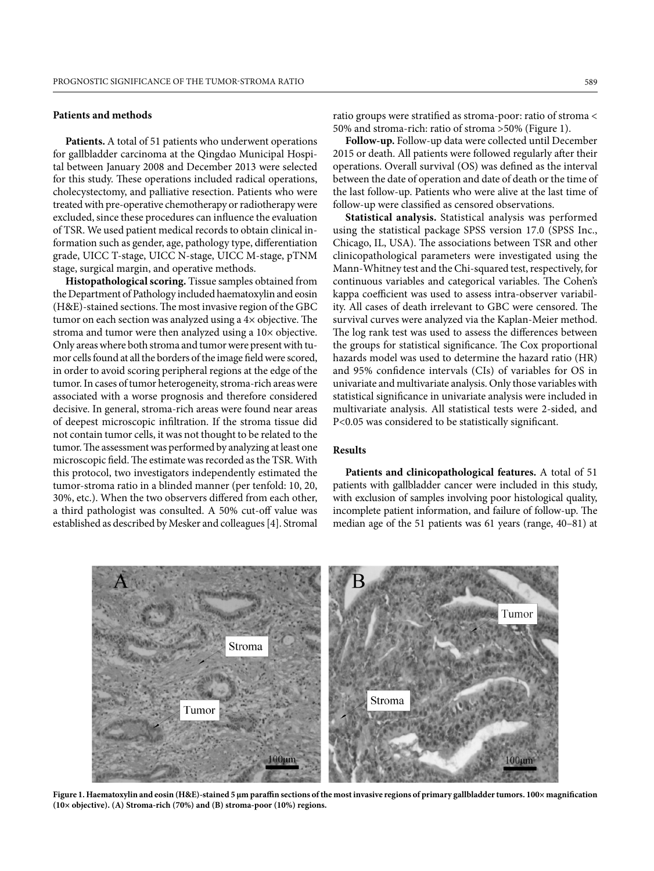### **Patients and methods**

**Patients.** A total of 51 patients who underwent operations for gallbladder carcinoma at the Qingdao Municipal Hospital between January 2008 and December 2013 were selected for this study. These operations included radical operations, cholecystectomy, and palliative resection. Patients who were treated with pre-operative chemotherapy or radiotherapy were excluded, since these procedures can influence the evaluation of TSR. We used patient medical records to obtain clinical information such as gender, age, pathology type, differentiation grade, UICC T-stage, UICC N-stage, UICC M-stage, pTNM stage, surgical margin, and operative methods.

**Histopathological scoring.** Tissue samples obtained from the Department of Pathology included haematoxylin and eosin  $(H&E)$ -stained sections. The most invasive region of the GBC tumor on each section was analyzed using a  $4\times$  objective. The stroma and tumor were then analyzed using a 10× objective. Only areas where both stroma and tumor were present with tumor cells found at all the borders of the image field were scored, in order to avoid scoring peripheral regions at the edge of the tumor. In cases of tumor heterogeneity, stroma-rich areas were associated with a worse prognosis and therefore considered decisive. In general, stroma-rich areas were found near areas of deepest microscopic infiltration. If the stroma tissue did not contain tumor cells, it was not thought to be related to the tumor. The assessment was performed by analyzing at least one microscopic field. The estimate was recorded as the TSR. With this protocol, two investigators independently estimated the tumor-stroma ratio in a blinded manner (per tenfold: 10, 20, 30%, etc.). When the two observers differed from each other, a third pathologist was consulted. A 50% cut-off value was established as described by Mesker and colleagues [4]. Stromal ratio groups were stratified as stroma-poor: ratio of stroma < 50% and stroma-rich: ratio of stroma >50% (Figure 1).

**Follow-up.** Follow-up data were collected until December 2015 or death. All patients were followed regularly after their operations. Overall survival (OS) was defined as the interval between the date of operation and date of death or the time of the last follow-up. Patients who were alive at the last time of follow-up were classified as censored observations.

**Statistical analysis.** Statistical analysis was performed using the statistical package SPSS version 17.0 (SPSS Inc., Chicago, IL, USA). The associations between TSR and other clinicopathological parameters were investigated using the Mann-Whitney test and the Chi-squared test, respectively, for continuous variables and categorical variables. The Cohen's kappa coefficient was used to assess intra-observer variability. All cases of death irrelevant to GBC were censored. The survival curves were analyzed via the Kaplan-Meier method. The log rank test was used to assess the differences between the groups for statistical significance. The Cox proportional hazards model was used to determine the hazard ratio (HR) and 95% confidence intervals (CIs) of variables for OS in univariate and multivariate analysis. Only those variables with statistical significance in univariate analysis were included in multivariate analysis. All statistical tests were 2-sided, and P<0.05 was considered to be statistically significant.

## **Results**

**Patients and clinicopathological features.** A total of 51 patients with gallbladder cancer were included in this study, with exclusion of samples involving poor histological quality, incomplete patient information, and failure of follow-up. The median age of the 51 patients was 61 years (range, 40–81) at



Figure 1. Haematoxylin and eosin (H&E)-stained 5 μm paraffin sections of the most invasive regions of primary gallbladder tumors. 100× magnification **(10× objective). (A) Stroma- rich (70%) and (B) stroma-poor (10%) regions.**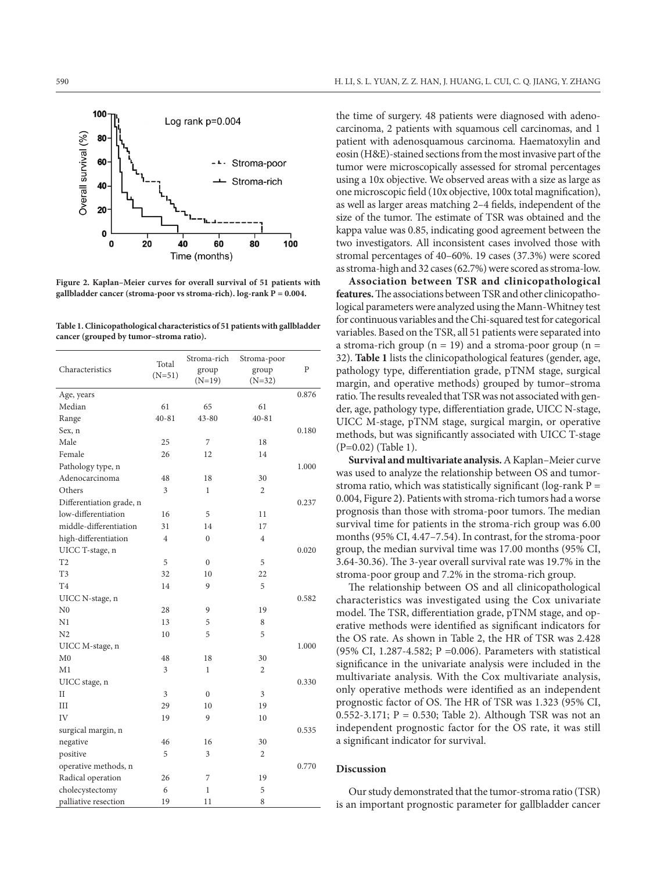

**Figure 2. Kaplan–Meier curves for overall survival of 51 patients with gallbladder cancer (stroma-poor vs stroma-rich). log-rank P = 0.004.**

**Table 1. Clinicopathological characteristics of 51 patients with gallbladder cancer (grouped by tumor–stroma ratio).**

| Characteristics          | Total<br>$(N=51)$ | Stroma-rich<br>group<br>$(N=19)$ | Stroma-poor<br>group<br>$(N=32)$ | P     |
|--------------------------|-------------------|----------------------------------|----------------------------------|-------|
| Age, years               |                   |                                  |                                  | 0.876 |
| Median                   | 61                | 65                               | 61                               |       |
| Range                    | $40 - 81$         | 43-80                            | $40 - 81$                        |       |
| Sex, n                   |                   |                                  |                                  | 0.180 |
| Male                     | 25                | 7                                | 18                               |       |
| Female                   | 26                | 12                               | 14                               |       |
| Pathology type, n        |                   |                                  |                                  | 1.000 |
| Adenocarcinoma           | 48                | 18                               | 30                               |       |
| Others                   | 3                 | $\mathbf{1}$                     | $\overline{c}$                   |       |
| Differentiation grade, n |                   |                                  |                                  | 0.237 |
| low-differentiation      | 16                | 5                                | 11                               |       |
| middle-differentiation   | 31                | 14                               | 17                               |       |
| high-differentiation     | $\overline{4}$    | $\mathbf{0}$                     | $\overline{4}$                   |       |
| UICC T-stage, n          |                   |                                  |                                  | 0.020 |
| T <sub>2</sub>           | 5                 | $\overline{0}$                   | 5                                |       |
| T <sub>3</sub>           | 32                | 10                               | 22                               |       |
| T <sub>4</sub>           | 14                | 9                                | 5                                |       |
| UICC N-stage, n          |                   |                                  |                                  | 0.582 |
| N <sub>0</sub>           | 28                | 9                                | 19                               |       |
| N1                       | 13                | 5                                | 8                                |       |
| N <sub>2</sub>           | 10                | 5                                | 5                                |       |
| UICC M-stage, n          |                   |                                  |                                  | 1.000 |
| M <sub>0</sub>           | 48                | 18                               | 30                               |       |
| M1                       | 3                 | $\mathbf{1}$                     | 2                                |       |
| UICC stage, n            |                   |                                  |                                  | 0.330 |
| $\mathbf{I}$             | 3                 | $\mathbf{0}$                     | 3                                |       |
| III                      | 29                | 10                               | 19                               |       |
| IV                       | 19                | 9                                | 10                               |       |
| surgical margin, n       |                   |                                  |                                  | 0.535 |
| negative                 | 46                | 16                               | 30                               |       |
| positive                 | 5                 | 3                                | 2                                |       |
| operative methods, n     |                   |                                  |                                  | 0.770 |
| Radical operation        | 26                | 7                                | 19                               |       |
| cholecystectomy          | 6                 | 1                                | 5                                |       |
| palliative resection     | 19                | 11                               | 8                                |       |

the time of surgery. 48 patients were diagnosed with adenocarcinoma, 2 patients with squamous cell carcinomas, and 1 patient with adenosquamous carcinoma. Haematoxylin and eosin (H&E)-stained sections from the most invasive part of the tumor were microscopically assessed for stromal percentages using a 10x objective. We observed areas with a size as large as one microscopic field (10x objective, 100x total magnification), as well as larger areas matching 2–4 fields, independent of the size of the tumor. The estimate of TSR was obtained and the kappa value was 0.85, indicating good agreement between the two investigators. All inconsistent cases involved those with stromal percentages of 40–60%. 19 cases (37.3%) were scored as stroma-high and 32 cases (62.7%) were scored as stroma-low.

**Association between TSR and clinicopathological features.** The associations between TSR and other clinicopathological parameters were analyzed using the Mann-Whitney test for continuous variables and the Chi-squared test for categorical variables. Based on the TSR, all 51 patients were separated into a stroma-rich group ( $n = 19$ ) and a stroma-poor group ( $n =$ 32). **Table 1** lists the clinicopathological features (gender, age, pathology type, differentiation grade, pTNM stage, surgical margin, and operative methods) grouped by tumor–stroma ratio. The results revealed that TSR was not associated with gender, age, pathology type, differentiation grade, UICC N-stage, UICC M-stage, pTNM stage, surgical margin, or operative methods, but was significantly associated with UICC T-stage (P=0.02) (Table 1).

**Survival and multivariate analysis.** A Kaplan–Meier curve was used to analyze the relationship between OS and tumorstroma ratio, which was statistically significant (log-rank  $P =$ 0.004, Figure 2**)**. Patients with stroma-rich tumors had a worse prognosis than those with stroma-poor tumors. The median survival time for patients in the stroma-rich group was 6.00 months (95% CI, 4.47–7.54). In contrast, for the stroma-poor group, the median survival time was 17.00 months (95% CI, 3.64-30.36). The 3-year overall survival rate was 19.7% in the stroma-poor group and 7.2% in the stroma-rich group.

The relationship between OS and all clinicopathological characteristics was investigated using the Cox univariate model. The TSR, differentiation grade, pTNM stage, and operative methods were identified as significant indicators for the OS rate. As shown in Table 2, the HR of TSR was 2.428 (95% CI, 1.287-4.582; P =0.006). Parameters with statistical significance in the univariate analysis were included in the multivariate analysis. With the Cox multivariate analysis, only operative methods were identified as an independent prognostic factor of OS. The HR of TSR was 1.323 (95% CI, 0.552-3.171; P = 0.530; Table 2). Although TSR was not an independent prognostic factor for the OS rate, it was still a significant indicator for survival.

## **Discussion**

Our study demonstrated that the tumor-stroma ratio (TSR) is an important prognostic parameter for gallbladder cancer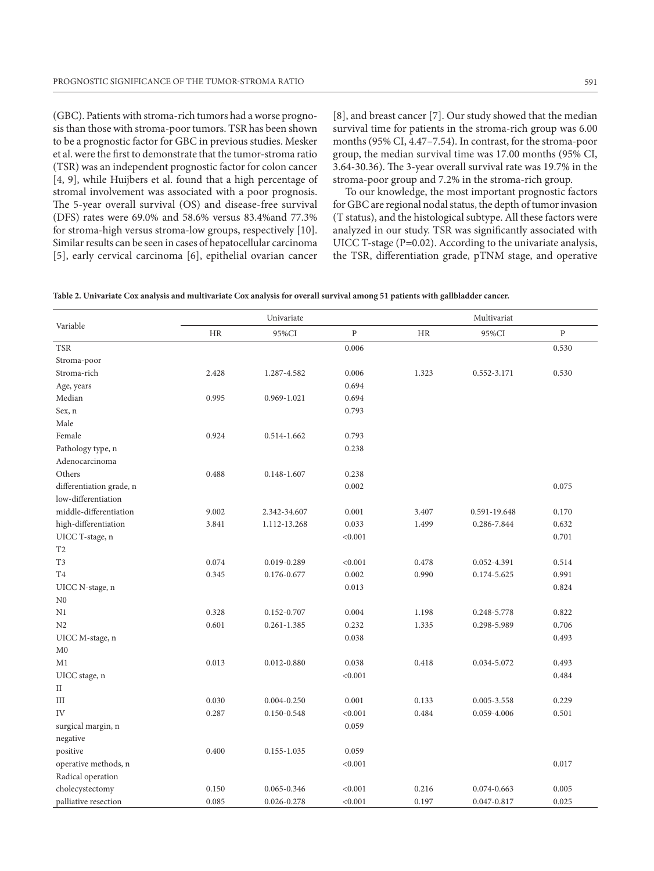(GBC). Patients with stroma-rich tumors had a worse prognosis than those with stroma-poor tumors. TSR has been shown to be a prognostic factor for GBC in previous studies. Mesker et al. were the first to demonstrate that the tumor-stroma ratio (TSR) was an independent prognostic factor for colon cancer [4, 9], while Huijbers et al. found that a high percentage of stromal involvement was associated with a poor prognosis. The 5-year overall survival (OS) and disease-free survival (DFS) rates were 69.0% and 58.6% versus 83.4%and 77.3% for stroma-high versus stroma-low groups, respectively [10]. Similar results can be seen in cases of hepatocellular carcinoma [5], early cervical carcinoma [6], epithelial ovarian cancer

[8], and breast cancer [7]. Our study showed that the median survival time for patients in the stroma-rich group was 6.00 months (95% CI, 4.47–7.54). In contrast, for the stroma-poor group, the median survival time was 17.00 months (95% CI, 3.64-30.36). The 3-year overall survival rate was 19.7% in the stroma-poor group and 7.2% in the stroma-rich group.

To our knowledge, the most important prognostic factors for GBC are regional nodal status, the depth of tumor invasion (T status), and the histological subtype. All these factors were analyzed in our study. TSR was significantly associated with UICC T-stage  $(P=0.02)$ . According to the univariate analysis, the TSR, differentiation grade, pTNM stage, and operative

| Variable                 | Univariate |                 |           | Multivariat |              |           |
|--------------------------|------------|-----------------|-----------|-------------|--------------|-----------|
|                          | <b>HR</b>  | 95%CI           | ${\bf P}$ | <b>HR</b>   | 95%CI        | ${\bf p}$ |
| <b>TSR</b>               |            |                 | 0.006     |             |              | 0.530     |
| Stroma-poor              |            |                 |           |             |              |           |
| Stroma-rich              | 2.428      | 1.287-4.582     | 0.006     | 1.323       | 0.552-3.171  | 0.530     |
| Age, years               |            |                 | 0.694     |             |              |           |
| Median                   | 0.995      | 0.969-1.021     | 0.694     |             |              |           |
| Sex, n                   |            |                 | 0.793     |             |              |           |
| Male                     |            |                 |           |             |              |           |
| Female                   | 0.924      | 0.514-1.662     | 0.793     |             |              |           |
| Pathology type, n        |            |                 | 0.238     |             |              |           |
| Adenocarcinoma           |            |                 |           |             |              |           |
| Others                   | 0.488      | $0.148 - 1.607$ | 0.238     |             |              |           |
| differentiation grade, n |            |                 | 0.002     |             |              | 0.075     |
| low-differentiation      |            |                 |           |             |              |           |
| middle-differentiation   | 9.002      | 2.342-34.607    | 0.001     | 3.407       | 0.591-19.648 | 0.170     |
| high-differentiation     | 3.841      | 1.112-13.268    | 0.033     | 1.499       | 0.286-7.844  | 0.632     |
| UICC T-stage, n          |            |                 | < 0.001   |             |              | 0.701     |
| T <sub>2</sub>           |            |                 |           |             |              |           |
| T <sub>3</sub>           | 0.074      | 0.019-0.289     | < 0.001   | 0.478       | 0.052-4.391  | 0.514     |
| T <sub>4</sub>           | 0.345      | 0.176-0.677     | 0.002     | 0.990       | 0.174-5.625  | 0.991     |
| UICC N-stage, n          |            |                 | 0.013     |             |              | 0.824     |
| N <sub>0</sub>           |            |                 |           |             |              |           |
| N1                       | 0.328      | 0.152-0.707     | 0.004     | 1.198       | 0.248-5.778  | 0.822     |
| N <sub>2</sub>           | 0.601      | $0.261 - 1.385$ | 0.232     | 1.335       | 0.298-5.989  | 0.706     |
| UICC M-stage, n          |            |                 | 0.038     |             |              | 0.493     |
| M <sub>0</sub>           |            |                 |           |             |              |           |
| M1                       | 0.013      | $0.012 - 0.880$ | 0.038     | 0.418       | 0.034-5.072  | 0.493     |
| UICC stage, n            |            |                 | < 0.001   |             |              | 0.484     |
| $\rm II$                 |            |                 |           |             |              |           |
| III                      | 0.030      | $0.004 - 0.250$ | 0.001     | 0.133       | 0.005-3.558  | 0.229     |
| IV                       | 0.287      | 0.150-0.548     | < 0.001   | 0.484       | 0.059-4.006  | 0.501     |
| surgical margin, n       |            |                 | 0.059     |             |              |           |
| negative                 |            |                 |           |             |              |           |
| positive                 | 0.400      | 0.155-1.035     | 0.059     |             |              |           |
| operative methods, n     |            |                 | < 0.001   |             |              | 0.017     |
| Radical operation        |            |                 |           |             |              |           |
| cholecystectomy          | 0.150      | 0.065-0.346     | < 0.001   | 0.216       | 0.074-0.663  | 0.005     |
| palliative resection     | 0.085      | $0.026 - 0.278$ | < 0.001   | 0.197       | 0.047-0.817  | 0.025     |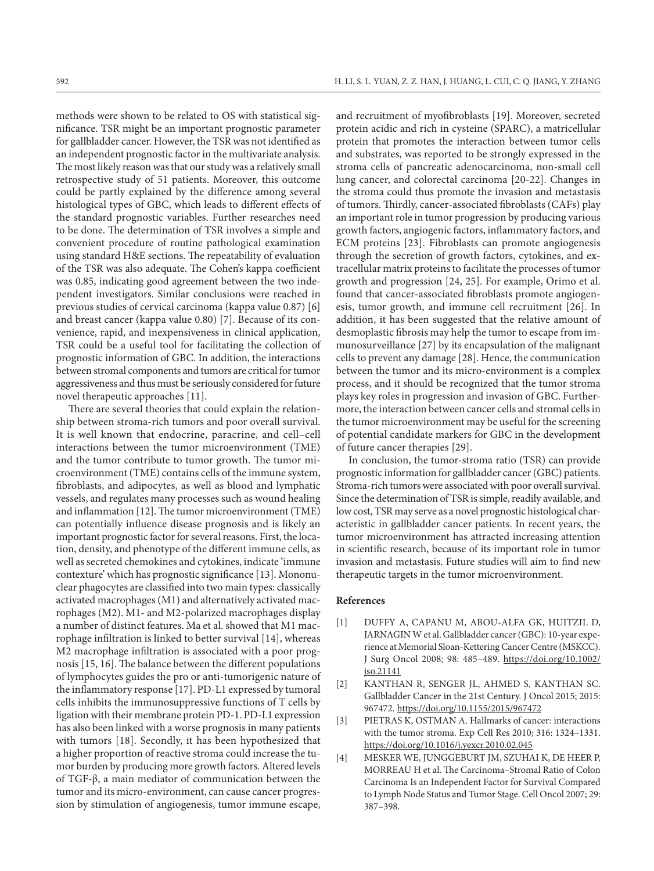methods were shown to be related to OS with statistical significance. TSR might be an important prognostic parameter for gallbladder cancer. However, the TSR was not identified as an independent prognostic factor in the multivariate analysis. The most likely reason was that our study was a relatively small retrospective study of 51 patients. Moreover, this outcome could be partly explained by the difference among several histological types of GBC, which leads to different effects of the standard prognostic variables. Further researches need to be done. The determination of TSR involves a simple and convenient procedure of routine pathological examination using standard H&E sections. The repeatability of evaluation of the TSR was also adequate. The Cohen's kappa coefficient was 0.85, indicating good agreement between the two independent investigators. Similar conclusions were reached in previous studies of cervical carcinoma (kappa value 0.87) [6] and breast cancer (kappa value 0.80) [7]. Because of its convenience, rapid, and inexpensiveness in clinical application, TSR could be a useful tool for facilitating the collection of prognostic information of GBC. In addition, the interactions between stromal components and tumors are critical for tumor aggressiveness and thus must be seriously considered for future novel therapeutic approaches [11].

There are several theories that could explain the relationship between stroma-rich tumors and poor overall survival. It is well known that endocrine, paracrine, and cell–cell interactions between the tumor microenvironment (TME) and the tumor contribute to tumor growth. The tumor microenvironment (TME) contains cells of the immune system, fibroblasts, and adipocytes, as well as blood and lymphatic vessels, and regulates many processes such as wound healing and inflammation [12]. The tumor microenvironment (TME) can potentially influence disease prognosis and is likely an important prognostic factor for several reasons. First, the location, density, and phenotype of the different immune cells, as well as secreted chemokines and cytokines, indicate 'immune contexture' which has prognostic significance [13]. Mononuclear phagocytes are classified into two main types: classically activated macrophages (M1) and alternatively activated macrophages (M2). M1- and M2-polarized macrophages display a number of distinct features. Ma et al. showed that M1 macrophage infiltration is linked to better survival [14], whereas M2 macrophage infiltration is associated with a poor prognosis [15, 16]. The balance between the different populations of lymphocytes guides the pro or anti-tumorigenic nature of the inflammatory response [17]. PD-L1 expressed by tumoral cells inhibits the immunosuppressive functions of T cells by ligation with their membrane protein PD-1. PD-L1 expression has also been linked with a worse prognosis in many patients with tumors [18]. Secondly, it has been hypothesized that a higher proportion of reactive stroma could increase the tumor burden by producing more growth factors. Altered levels of TGF-β, a main mediator of communication between the tumor and its micro-environment, can cause cancer progression by stimulation of angiogenesis, tumor immune escape,

and recruitment of myofibroblasts [19]. Moreover, secreted protein acidic and rich in cysteine (SPARC), a matricellular protein that promotes the interaction between tumor cells and substrates, was reported to be strongly expressed in the stroma cells of pancreatic adenocarcinoma, non-small cell lung cancer, and colorectal carcinoma [20-22]. Changes in the stroma could thus promote the invasion and metastasis of tumors. Thirdly, cancer-associated fibroblasts (CAFs) play an important role in tumor progression by producing various growth factors, angiogenic factors, inflammatory factors, and ECM proteins [23]. Fibroblasts can promote angiogenesis through the secretion of growth factors, cytokines, and extracellular matrix proteins to facilitate the processes of tumor growth and progression [24, 25]. For example, Orimo et al. found that cancer-associated fibroblasts promote angiogenesis, tumor growth, and immune cell recruitment [26]. In addition, it has been suggested that the relative amount of desmoplastic fibrosis may help the tumor to escape from immunosurveillance [27] by its encapsulation of the malignant cells to prevent any damage [28]. Hence, the communication between the tumor and its micro-environment is a complex process, and it should be recognized that the tumor stroma plays key roles in progression and invasion of GBC. Furthermore, the interaction between cancer cells and stromal cells in the tumor microenvironment may be useful for the screening of potential candidate markers for GBC in the development of future cancer therapies [29].

In conclusion, the tumor-stroma ratio (TSR) can provide prognostic information for gallbladder cancer (GBC) patients. Stroma-rich tumors were associated with poor overall survival. Since the determination of TSR is simple, readily available, and low cost, TSR may serve as a novel prognostic histological characteristic in gallbladder cancer patients. In recent years, the tumor microenvironment has attracted increasing attention in scientific research, because of its important role in tumor invasion and metastasis. Future studies will aim to find new therapeutic targets in the tumor microenvironment.

#### **References**

- [1] DUFFY A, CAPANU M, ABOU-ALFA GK, HUITZIL D, JARNAGIN W et al. Gallbladder cancer (GBC): 10-year experience at Memorial Sloan-Kettering Cancer Centre (MSKCC). J Surg Oncol 2008; 98: 485–489. [https://doi.org/10.1002/](https://doi.org/10.1002/jso.21141) [jso.21141](https://doi.org/10.1002/jso.21141)
- [2] KANTHAN R, SENGER JL, AHMED S, KANTHAN SC. Gallbladder Cancer in the 21st Century. J Oncol 2015; 2015: 967472. <https://doi.org/10.1155/2015/967472>
- [3] PIETRAS K, OSTMAN A. Hallmarks of cancer: interactions with the tumor stroma. Exp Cell Res 2010; 316: 1324–1331. <https://doi.org/10.1016/j.yexcr.2010.02.045>
- [4] MESKER WE, JUNGGEBURT JM, SZUHAI K, DE HEER P, MORREAU H et al. The Carcinoma–Stromal Ratio of Colon Carcinoma Is an Independent Factor for Survival Compared to Lymph Node Status and Tumor Stage. Cell Oncol 2007; 29: 387–398.